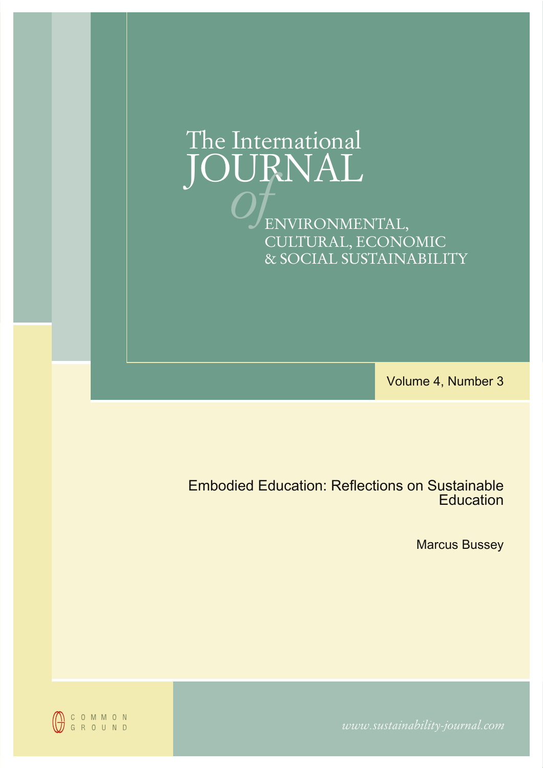# The International JOURNAL<br>*OF*ENVIRONMENTAL, CULTURAL, ECONOMIC & SOCIAL SUSTAINABILITY

Volume 4, Number 3

Embodied Education: Reflections on Sustainable **Education** 

Marcus Bussey

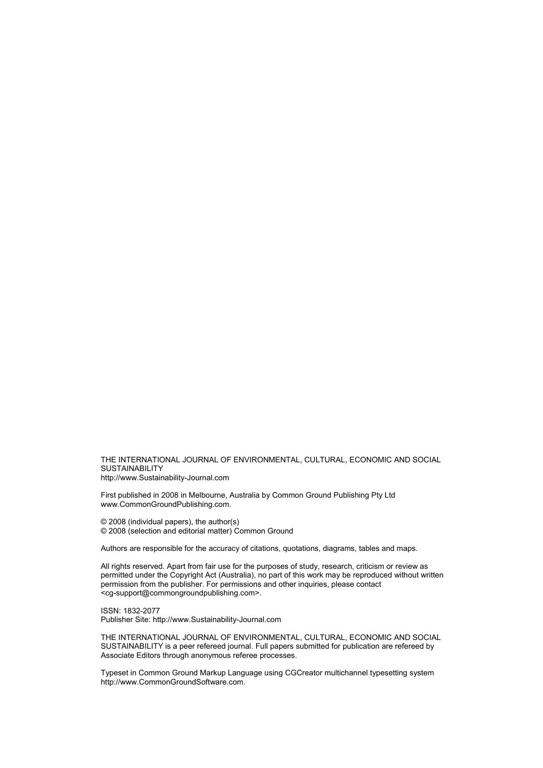THE INTERNATIONAL JOURNAL OF ENVIRONMENTAL, CULTURAL, ECONOMIC AND SOCIAL **SUSTAINABILITY** http://www.Sustainability-Journal.com

First published in 2008 in Melbourne, Australia by Common Ground Publishing Pty Ltd www.CommonGroundPublishing.com.

© 2008 (individual papers), the author(s) © 2008 (selection and editorial matter) Common Ground

Authors are responsible for the accuracy of citations, quotations, diagrams, tables and maps.

All rights reserved. Apart from fair use for the purposes of study, research, criticism or review as permitted under the Copyright Act (Australia), no part of this work may be reproduced without written permission from the publisher. For permissions and other inquiries, please contact <cg-support@commongroundpublishing.com>.

ISSN: 1832-2077 Publisher Site: http://www.Sustainability-Journal.com

THE INTERNATIONAL JOURNAL OF ENVIRONMENTAL, CULTURAL, ECONOMIC AND SOCIAL SUSTAINABILITY is a peer refereed journal. Full papers submitted for publication are refereed by Associate Editors through anonymous referee processes.

Typeset in Common Ground Markup Language using CGCreator multichannel typesetting system http://www.CommonGroundSoftware.com.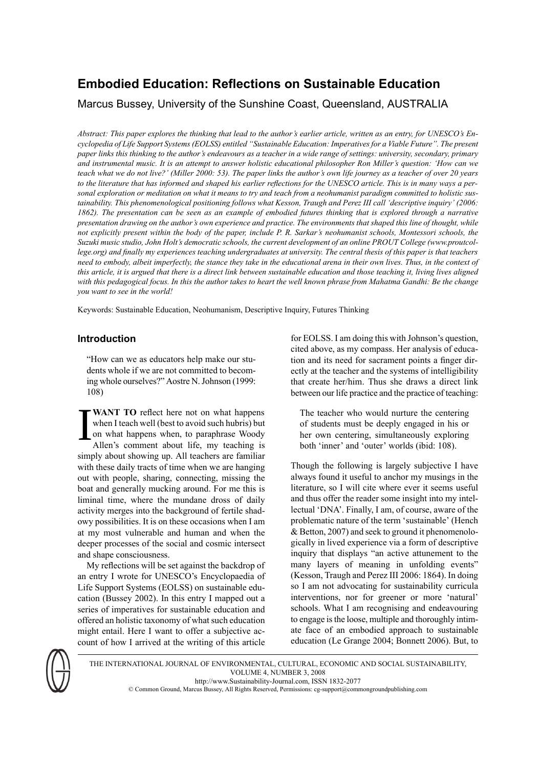# **Embodied Education: Reflections on Sustainable Education**

Marcus Bussey, University of the Sunshine Coast, Queensland, AUSTRALIA

Abstract: This paper explores the thinking that lead to the author's earlier article, written as an entry, for UNESCO's En*cyclopedia of Life Support Systems(EOLSS) entitled "Sustainable Education: Imperativesfor a Viable Future". The present* paper links this thinking to the author's endeavours as a teacher in a wide range of settings: university, secondary, primary and instrumental music. It is an attempt to answer holistic educational philosopher Ron Miller's question: 'How can we teach what we do not live?' (Miller 2000: 53). The paper links the author's own life journey as a teacher of over 20 years to the literature that has informed and shaped his earlier reflections for the UNESCO article. This is in many ways a personal exploration or meditation on what it means to try and teach from a neohumanist paradigm committed to holistic sustainability. This phenomenological positioning follows what Kesson, Traugh and Perez III call 'descriptive inquiry' (2006: 1862). The presentation can be seen as an example of embodied futures thinking that is explored through a narrative presentation drawing on the author's own experience and practice. The environments that shaped this line of thought, while not explicitly present within the body of the paper, include P. R. Sarkar's neohumanist schools, Montessori schools, the Suzuki music studio, John Holt's democratic schools, the current development of an online PROUT College (www.proutcollege.org) and finally my experiences teaching undergraduates at university. The central thesis of this paper is that teachers need to embody, albeit imperfectly, the stance they take in the educational arena in their own lives. Thus, in the context of this article, it is argued that there is a direct link between sustainable education and those teaching it, living lives aligned with this pedagogical focus. In this the author takes to heart the well known phrase from Mahatma Gandhi: Be the change *you want to see in the world!*

Keywords: Sustainable Education, Neohumanism, Descriptive Inquiry, Futures Thinking

### **Introduction**

"How can we as educators help make our students whole if we are not committed to becoming whole ourselves?" Aostre N.Johnson (1999: 108)

I **WANT TO** reflect here not on what happens when I teach well (best to avoid such hubris) but on what happens when, to paraphrase Woody Allen's comment about life, my teaching is simply about showing up. All teachers are familiar with these daily tracts of time when we are hanging out with people, sharing, connecting, missing the boat and generally mucking around. For me this is liminal time, where the mundane dross of daily activity merges into the background of fertile shadowy possibilities. It is on these occasions when I am at my most vulnerable and human and when the deeper processes of the social and cosmic intersect and shape consciousness.

My reflections will be set against the backdrop of an entry I wrote for UNESCO's Encyclopaedia of Life Support Systems (EOLSS) on sustainable education (Bussey 2002). In this entry I mapped out a series of imperatives for sustainable education and offered an holistic taxonomy of what such education might entail. Here I want to offer a subjective account of how I arrived at the writing of this article

for EOLSS. I am doing this with Johnson's question, cited above, as my compass. Her analysis of education and its need for sacrament points a finger directly at the teacher and the systems of intelligibility that create her/him. Thus she draws a direct link between our life practice and the practice of teaching:

The teacher who would nurture the centering of students must be deeply engaged in his or her own centering, simultaneously exploring both 'inner' and 'outer' worlds (ibid: 108).

Though the following is largely subjective I have always found it useful to anchor my musings in the literature, so I will cite where ever it seems useful and thus offer the reader some insight into my intellectual 'DNA'. Finally, I am, of course, aware of the problematic nature of the term 'sustainable' (Hench & Betton, 2007) and seek to ground it phenomenologically in lived experience via a form of descriptive inquiry that displays "an active attunement to the many layers of meaning in unfolding events" (Kesson, Traugh and Perez III 2006: 1864). In doing so I am not advocating for sustainability curricula interventions, nor for greener or more 'natural' schools. What I am recognising and endeavouring to engage isthe loose, multiple and thoroughly intimate face of an embodied approach to sustainable education (Le Grange 2004; Bonnett 2006). But, to



THE INTERNATIONAL JOURNAL OF ENVIRONMENTAL, CULTURAL, ECONOMIC AND SOCIAL SUSTAINABILITY, VOLUME 4, NUMBER 3, 2008 http://www.Sustainability-Journal.com, ISSN 1832-2077 © Common Ground, Marcus Bussey, All Rights Reserved, Permissions: cg-support@commongroundpublishing.com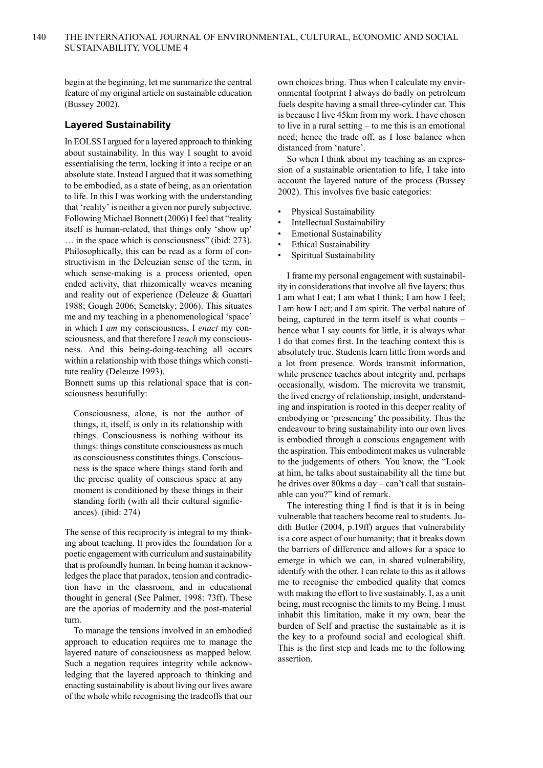begin at the beginning, let me summarize the central feature of my original article on sustainable education (Bussey 2002).

#### **Layered Sustainability**

In EOLSSI argued for a layered approach to thinking about sustainability. In this way I sought to avoid essentialising the term, locking it into a recipe or an absolute state. Instead I argued that it was something to be embodied, as a state of being, as an orientation to life. In this I was working with the understanding that 'reality' is neither a given nor purely subjective. Following Michael Bonnett (2006) I feel that "reality itself is human-related, that things only 'show up' … in the space which is consciousness" (ibid: 273). Philosophically, this can be read as a form of constructivism in the Deleuzian sense of the term, in which sense-making is a process oriented, open ended activity, that rhizomically weaves meaning and reality out of experience (Deleuze & Guattari 1988; Gough 2006; Semetsky; 2006). This situates me and my teaching in a phenomenological 'space' in which I *am* my consciousness, I *enact* my consciousness, and that therefore I *teach* my consciousness. And this being-doing-teaching all occurs within a relationship with those things which constitute reality (Deleuze 1993).

Bonnett sums up this relational space that is consciousness beautifully:

Consciousness, alone, is not the author of things, it, itself, is only in its relationship with things. Consciousness is nothing without its things: things constitute consciousness as much as consciousness constitutes things. Consciousness is the space where things stand forth and the precise quality of conscious space at any moment is conditioned by these things in their standing forth (with all their cultural significances). (ibid: 274)

The sense of this reciprocity is integral to my thinking about teaching. It provides the foundation for a poetic engagement with curriculum and sustainability that is profoundly human. In being human it acknowledges the place that paradox, tension and contradiction have in the classroom, and in educational thought in general (See Palmer, 1998: 73ff). These are the aporias of modernity and the post-material turn.

To manage the tensions involved in an embodied approach to education requires me to manage the layered nature of consciousness as mapped below. Such a negation requires integrity while acknowledging that the layered approach to thinking and enacting sustainability is about living our lives aware of the whole while recognising the tradeoffs that our

own choices bring. Thus when I calculate my environmental footprint I always do badly on petroleum fuels despite having a small three-cylinder car. This is because I live 45km from my work. I have chosen to live in a rural setting – to me this is an emotional need; hence the trade off, as I lose balance when distanced from 'nature'.

So when I think about my teaching as an expression of a sustainable orientation to life, I take into account the layered nature of the process (Bussey 2002). This involves five basic categories:

- Physical Sustainability
- Intellectual Sustainability
- Emotional Sustainability
- Ethical Sustainability
- Spiritual Sustainability

I frame my personal engagement with sustainability in considerations that involve all five layers; thus I am what I eat; I am what I think; I am how I feel; I am how I act; and I am spirit. The verbal nature of being, captured in the term itself is what counts – hence what I say counts for little, it is always what I do that comes first. In the teaching context this is absolutely true. Students learn little from words and a lot from presence. Words transmit information, while presence teaches about integrity and, perhaps occasionally, wisdom. The microvita we transmit, the lived energy of relationship, insight, understanding and inspiration is rooted in this deeper reality of embodying or 'presencing' the possibility. Thus the endeavour to bring sustainability into our own lives is embodied through a conscious engagement with the aspiration. This embodiment makes us vulnerable to the judgements of others. You know, the "Look at him, he talks about sustainability all the time but he drives over 80kms a day – can't call that sustainable can you?" kind of remark.

The interesting thing I find is that it is in being vulnerable that teachers become real to students. Judith Butler (2004, p.19ff) argues that vulnerability is a core aspect of our humanity; that it breaks down the barriers of difference and allows for a space to emerge in which we can, in shared vulnerability, identify with the other. I can relate to this as it allows me to recognise the embodied quality that comes with making the effort to live sustainably. I, as a unit being, must recognise the limits to my Being. I must inhabit this limitation, make it my own, bear the burden of Self and practise the sustainable as it is the key to a profound social and ecological shift. This is the first step and leads me to the following assertion.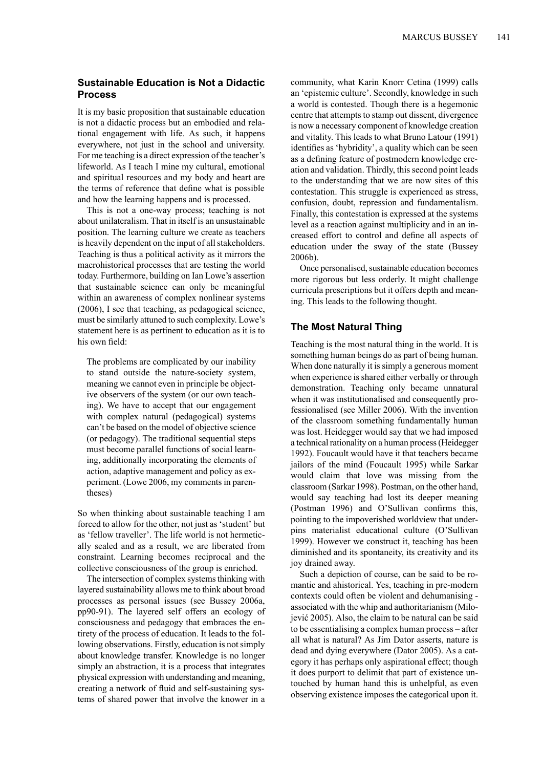#### **Sustainable Education is Not a Didactic Process**

It is my basic proposition that sustainable education is not a didactic process but an embodied and relational engagement with life. As such, it happens everywhere, not just in the school and university. For me teaching is a direct expression of the teacher's lifeworld. As I teach I mine my cultural, emotional and spiritual resources and my body and heart are the terms of reference that define what is possible and how the learning happens and is processed.

This is not a one-way process; teaching is not about unilateralism. That in itself is an unsustainable position. The learning culture we create as teachers is heavily dependent on the input of all stakeholders. Teaching is thus a political activity as it mirrors the macrohistorical processes that are testing the world today.Furthermore, building on Ian Lowe's assertion that sustainable science can only be meaningful within an awareness of complex nonlinear systems (2006), I see that teaching, as pedagogical science, must be similarly attuned to such complexity. Lowe's statement here is as pertinent to education as it is to his own field:

The problems are complicated by our inability to stand outside the nature-society system, meaning we cannot even in principle be objective observers of the system (or our own teaching). We have to accept that our engagement with complex natural (pedagogical) systems can't be based on the model of objective science (or pedagogy). The traditional sequential steps must become parallel functions of social learning, additionally incorporating the elements of action, adaptive management and policy as experiment. (Lowe 2006, my comments in parentheses)

So when thinking about sustainable teaching I am forced to allow for the other, not just as 'student' but as 'fellow traveller'. The life world is not hermetically sealed and as a result, we are liberated from constraint. Learning becomes reciprocal and the collective consciousness of the group is enriched.

The intersection of complex systems thinking with layered sustainability allows me to think about broad processes as personal issues (see Bussey 2006a, pp90-91). The layered self offers an ecology of consciousness and pedagogy that embraces the entirety of the process of education. It leads to the following observations. Firstly, education is not simply about knowledge transfer. Knowledge is no longer simply an abstraction, it is a process that integrates physical expression with understanding and meaning, creating a network of fluid and self-sustaining systems of shared power that involve the knower in a

community, what Karin Knorr Cetina (1999) calls an 'epistemic culture'. Secondly, knowledge in such a world is contested. Though there is a hegemonic centre that attempts to stamp out dissent, divergence is now a necessary component of knowledge creation and vitality. This leads to what Bruno Latour (1991) identifies as 'hybridity', a quality which can be seen as a defining feature of postmodern knowledge creation and validation. Thirdly, this second point leads to the understanding that we are now sites of this contestation. This struggle is experienced as stress, confusion, doubt, repression and fundamentalism. Finally, this contestation is expressed at the systems level as a reaction against multiplicity and in an increased effort to control and define all aspects of education under the sway of the state (Bussey 2006b).

Once personalised, sustainable education becomes more rigorous but less orderly. It might challenge curricula prescriptions but it offers depth and meaning. This leads to the following thought.

#### **The Most Natural Thing**

Teaching is the most natural thing in the world. It is something human beings do as part of being human. When done naturally it is simply a generous moment when experience is shared either verbally or through demonstration. Teaching only became unnatural when it was institutionalised and consequently professionalised (see Miller 2006). With the invention of the classroom something fundamentally human was lost. Heidegger would say that we had imposed a technical rationality on a human process(Heidegger 1992). Foucault would have it that teachers became jailors of the mind (Foucault 1995) while Sarkar would claim that love was missing from the classroom (Sarkar 1998). Postman, on the other hand, would say teaching had lost its deeper meaning (Postman 1996) and O'Sullivan confirms this, pointing to the impoverished worldview that underpins materialist educational culture (O'Sullivan 1999). However we construct it, teaching has been diminished and its spontaneity, its creativity and its joy drained away.

Such a depiction of course, can be said to be romantic and ahistorical. Yes, teaching in pre-modern contexts could often be violent and dehumanising associated with the whip and authoritarianism (Milojević 2005). Also, the claim to be natural can be said to be essentialising a complex human process – after all what is natural? As Jim Dator asserts, nature is dead and dying everywhere (Dator 2005). As a category it has perhaps only aspirational effect; though it does purport to delimit that part of existence untouched by human hand this is unhelpful, as even observing existence imposes the categorical upon it.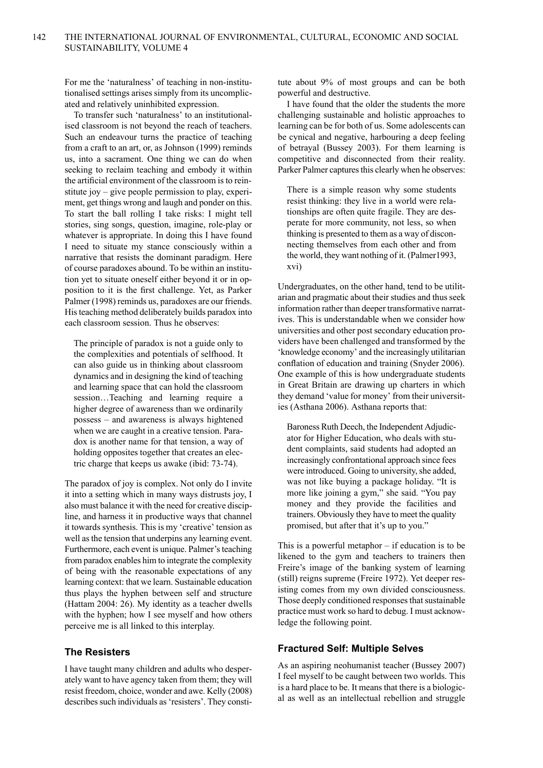For me the 'naturalness' of teaching in non-institutionalised settings arises simply from its uncomplicated and relatively uninhibited expression.

To transfer such 'naturalness' to an institutionalised classroom is not beyond the reach of teachers. Such an endeavour turns the practice of teaching from a craft to an art, or, as Johnson (1999) reminds us, into a sacrament. One thing we can do when seeking to reclaim teaching and embody it within the artificial environment of the classroom is to reinstitute joy – give people permission to play, experiment, get things wrong and laugh and ponder on this. To start the ball rolling I take risks: I might tell stories, sing songs, question, imagine, role-play or whatever is appropriate. In doing this I have found I need to situate my stance consciously within a narrative that resists the dominant paradigm. Here of course paradoxes abound. To be within an institution yet to situate oneself either beyond it or in opposition to it is the first challenge. Yet, as Parker Palmer (1998) reminds us, paradoxes are our friends. His teaching method deliberately builds paradox into each classroom session. Thus he observes:

The principle of paradox is not a guide only to the complexities and potentials of selfhood. It can also guide us in thinking about classroom dynamics and in designing the kind of teaching and learning space that can hold the classroom session…Teaching and learning require a higher degree of awareness than we ordinarily possess – and awareness is always hightened when we are caught in a creative tension. Paradox is another name for that tension, a way of holding opposites together that creates an electric charge that keeps us awake (ibid: 73-74).

The paradox of joy is complex. Not only do I invite it into a setting which in many ways distrusts joy, I also must balance it with the need for creative discipline, and harness it in productive ways that channel it towards synthesis. This is my 'creative' tension as well as the tension that underpins any learning event. Furthermore, each event is unique. Palmer's teaching from paradox enables him to integrate the complexity of being with the reasonable expectations of any learning context: that we learn. Sustainable education thus plays the hyphen between self and structure (Hattam 2004: 26). My identity as a teacher dwells with the hyphen; how I see myself and how others perceive me is all linked to this interplay.

#### **The Resisters**

I have taught many children and adults who desperately want to have agency taken from them; they will resist freedom, choice, wonder and awe. Kelly (2008) describes such individuals as 'resisters'. They constitute about 9% of most groups and can be both powerful and destructive.

I have found that the older the students the more challenging sustainable and holistic approaches to learning can be for both of us. Some adolescents can be cynical and negative, harbouring a deep feeling of betrayal (Bussey 2003). For them learning is competitive and disconnected from their reality. Parker Palmer captures this clearly when he observes:

There is a simple reason why some students resist thinking: they live in a world were relationships are often quite fragile. They are desperate for more community, not less, so when thinking is presented to them as a way of disconnecting themselves from each other and from the world, they want nothing of it. (Palmer1993, xvi)

Undergraduates, on the other hand, tend to be utilitarian and pragmatic about their studies and thus seek information rather than deeper transformative narratives. This is understandable when we consider how universities and other post secondary education providers have been challenged and transformed by the 'knowledge economy' and the increasingly utilitarian conflation of education and training (Snyder 2006). One example of this is how undergraduate students in Great Britain are drawing up charters in which they demand 'value for money' from their universities (Asthana 2006). Asthana reports that:

Baroness Ruth Deech, the Independent Adjudicator for Higher Education, who deals with student complaints, said students had adopted an increasingly confrontational approach since fees were introduced. Going to university, she added, was not like buying a package holiday. "It is more like joining a gym," she said. "You pay money and they provide the facilities and trainers. Obviously they have to meet the quality promised, but after that it's up to you."

This is a powerful metaphor – if education is to be likened to the gym and teachers to trainers then Freire's image of the banking system of learning (still) reigns supreme (Freire 1972). Yet deeper resisting comes from my own divided consciousness. Those deeply conditioned responses that sustainable practice must work so hard to debug. I must acknowledge the following point.

#### **Fractured Self: Multiple Selves**

As an aspiring neohumanist teacher (Bussey 2007) I feel myself to be caught between two worlds. This is a hard place to be. It means that there is a biological as well as an intellectual rebellion and struggle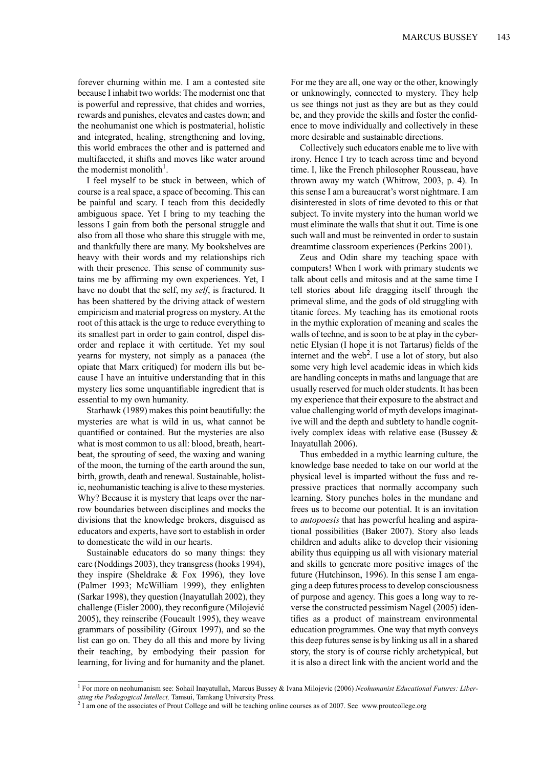forever churning within me. I am a contested site because I inhabit two worlds: The modernist one that is powerful and repressive, that chides and worries, rewards and punishes, elevates and castes down; and the neohumanist one which is postmaterial, holistic and integrated, healing, strengthening and loving, this world embraces the other and is patterned and multifaceted, it shifts and moves like water around the modernist monolith $1$ .

I feel myself to be stuck in between, which of course is a real space, a space of becoming. This can be painful and scary. I teach from this decidedly ambiguous space. Yet I bring to my teaching the lessons I gain from both the personal struggle and also from all those who share this struggle with me, and thankfully there are many. My bookshelves are heavy with their words and my relationships rich with their presence. This sense of community sustains me by affirming my own experiences. Yet, I have no doubt that the self, my *self*, is fractured. It has been shattered by the driving attack of western empiricism and material progress on mystery. At the root of this attack is the urge to reduce everything to its smallest part in order to gain control, dispel disorder and replace it with certitude. Yet my soul yearns for mystery, not simply as a panacea (the opiate that Marx critiqued) for modern ills but because I have an intuitive understanding that in this mystery lies some unquantifiable ingredient that is essential to my own humanity.

Starhawk (1989) makes this point beautifully: the mysteries are what is wild in us, what cannot be quantified or contained. But the mysteries are also what is most common to us all: blood, breath, heartbeat, the sprouting of seed, the waxing and waning of the moon, the turning of the earth around the sun, birth, growth, death and renewal. Sustainable, holistic, neohumanistic teaching is alive to these mysteries. Why? Because it is mystery that leaps over the narrow boundaries between disciplines and mocks the divisions that the knowledge brokers, disguised as educators and experts, have sort to establish in order to domesticate the wild in our hearts.

Sustainable educators do so many things: they care (Noddings 2003), they transgress(hooks 1994), they inspire (Sheldrake & Fox 1996), they love (Palmer 1993; McWilliam 1999), they enlighten (Sarkar 1998), they question (Inayatullah 2002), they challenge (Eisler 2000), they reconfigure (Milojević 2005), they reinscribe (Foucault 1995), they weave grammars of possibility (Giroux 1997), and so the list can go on. They do all this and more by living their teaching, by embodying their passion for learning, for living and for humanity and the planet. For me they are all, one way or the other, knowingly or unknowingly, connected to mystery. They help us see things not just as they are but as they could be, and they provide the skills and foster the confidence to move individually and collectively in these more desirable and sustainable directions.

Collectively such educators enable me to live with irony. Hence I try to teach across time and beyond time. I, like the French philosopher Rousseau, have thrown away my watch (Whitrow, 2003, p. 4). In this sense I am a bureaucrat's worst nightmare. I am disinterested in slots of time devoted to this or that subject. To invite mystery into the human world we must eliminate the walls that shut it out. Time is one such wall and must be reinvented in order to sustain dreamtime classroom experiences (Perkins 2001).

Zeus and Odin share my teaching space with computers! When I work with primary students we talk about cells and mitosis and at the same time I tell stories about life dragging itself through the primeval slime, and the gods of old struggling with titanic forces. My teaching has its emotional roots in the mythic exploration of meaning and scales the walls of techne, and is soon to be at play in the cybernetic Elysian (I hope it is not Tartarus) fields of the internet and the web<sup>2</sup>. I use a lot of story, but also some very high level academic ideas in which kids are handling concepts in maths and language that are usually reserved for much older students. It has been my experience that their exposure to the abstract and value challenging world of myth develops imaginative will and the depth and subtlety to handle cognitively complex ideas with relative ease (Bussey & Inayatullah 2006).

Thus embedded in a mythic learning culture, the knowledge base needed to take on our world at the physical level is imparted without the fuss and repressive practices that normally accompany such learning. Story punches holes in the mundane and frees us to become our potential. It is an invitation to *autopoesis* that has powerful healing and aspirational possibilities (Baker 2007). Story also leads children and adults alike to develop their visioning ability thus equipping us all with visionary material and skills to generate more positive images of the future (Hutchinson, 1996). In this sense I am engaging a deep futures processto develop consciousness of purpose and agency. This goes a long way to reverse the constructed pessimism Nagel (2005) identifies as a product of mainstream environmental education programmes. One way that myth conveys this deep futures sense is by linking us all in a shared story, the story is of course richly archetypical, but it is also a direct link with the ancient world and the

<sup>1</sup> For more on neohumanism see: Sohail Inayatullah, Marcus Bussey & Ivana Milojevic (2006) *Neohumanist Educational Futures: Liber-*

*ating the Pedagogical Intellect,* Tamsui, Tamkang University Press. 2 I am one of the associates of Prout College and will be teaching online courses as of 2007. See www.proutcollege.org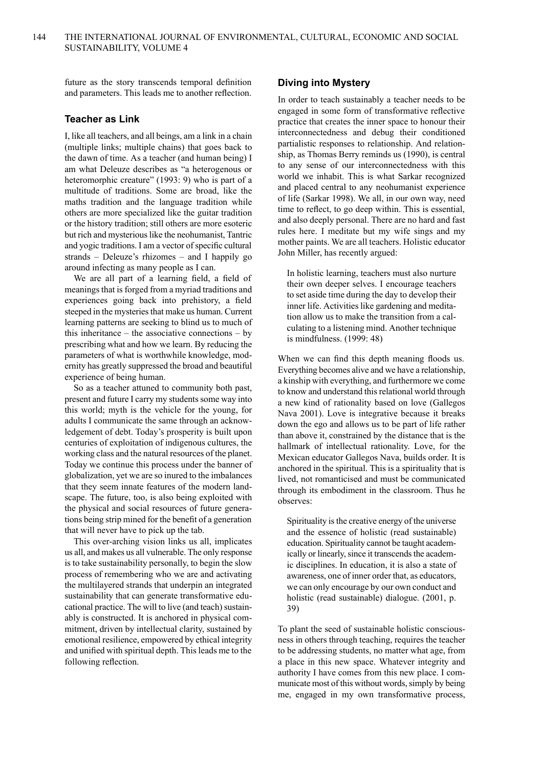future as the story transcends temporal definition and parameters. This leads me to another reflection.

#### **Teacher as Link**

I, like all teachers, and all beings, am a link in a chain (multiple links; multiple chains) that goes back to the dawn of time. As a teacher (and human being) I am what Deleuze describes as "a heterogenous or heteromorphic creature" (1993: 9) who is part of a multitude of traditions. Some are broad, like the maths tradition and the language tradition while others are more specialized like the guitar tradition or the history tradition; still others are more esoteric but rich and mysterious like the neohumanist, Tantric and yogic traditions. I am a vector of specific cultural strands – Deleuze's rhizomes – and I happily go around infecting as many people as I can.

We are all part of a learning field, a field of meanings that is forged from a myriad traditions and experiences going back into prehistory, a field steeped in the mysteries that make us human. Current learning patterns are seeking to blind us to much of this inheritance – the associative connections – by prescribing what and how we learn. By reducing the parameters of what is worthwhile knowledge, modernity has greatly suppressed the broad and beautiful experience of being human.

So as a teacher attuned to community both past, present and future I carry my students some way into this world; myth is the vehicle for the young, for adults I communicate the same through an acknowledgement of debt. Today's prosperity is built upon centuries of exploitation of indigenous cultures, the working class and the natural resources of the planet. Today we continue this process under the banner of globalization, yet we are so inured to the imbalances that they seem innate features of the modern landscape. The future, too, is also being exploited with the physical and social resources of future generations being strip mined for the benefit of a generation that will never have to pick up the tab.

This over-arching vision links us all, implicates us all, and makes us all vulnerable. The only response is to take sustainability personally, to begin the slow process of remembering who we are and activating the multilayered strands that underpin an integrated sustainability that can generate transformative educational practice. The will to live (and teach) sustainably is constructed. It is anchored in physical commitment, driven by intellectual clarity, sustained by emotional resilience, empowered by ethical integrity and unified with spiritual depth. Thisleads me to the following reflection.

#### **Diving into Mystery**

In order to teach sustainably a teacher needs to be engaged in some form of transformative reflective practice that creates the inner space to honour their interconnectedness and debug their conditioned partialistic responses to relationship. And relationship, as Thomas Berry reminds us (1990), is central to any sense of our interconnectedness with this world we inhabit. This is what Sarkar recognized and placed central to any neohumanist experience of life (Sarkar 1998). We all, in our own way, need time to reflect, to go deep within. This is essential, and also deeply personal. There are no hard and fast rules here. I meditate but my wife sings and my mother paints. We are all teachers. Holistic educator John Miller, has recently argued:

In holistic learning, teachers must also nurture their own deeper selves. I encourage teachers to set aside time during the day to develop their inner life. Activities like gardening and meditation allow us to make the transition from a calculating to a listening mind. Another technique is mindfulness. (1999: 48)

When we can find this depth meaning floods us. Everything becomes alive and we have a relationship, a kinship with everything, and furthermore we come to know and understand this relational world through a new kind of rationality based on love (Gallegos Nava 2001). Love is integrative because it breaks down the ego and allows us to be part of life rather than above it, constrained by the distance that is the hallmark of intellectual rationality. Love, for the Mexican educator Gallegos Nava, builds order. It is anchored in the spiritual. This is a spirituality that is lived, not romanticised and must be communicated through its embodiment in the classroom. Thus he observes:

Spirituality is the creative energy of the universe and the essence of holistic (read sustainable) education.Spirituality cannot be taught academically or linearly, since it transcends the academic disciplines. In education, it is also a state of awareness, one of inner order that, as educators, we can only encourage by our own conduct and holistic (read sustainable) dialogue. (2001, p. 39)

To plant the seed of sustainable holistic consciousness in others through teaching, requires the teacher to be addressing students, no matter what age, from a place in this new space. Whatever integrity and authority I have comes from this new place. I communicate most of this without words, simply by being me, engaged in my own transformative process,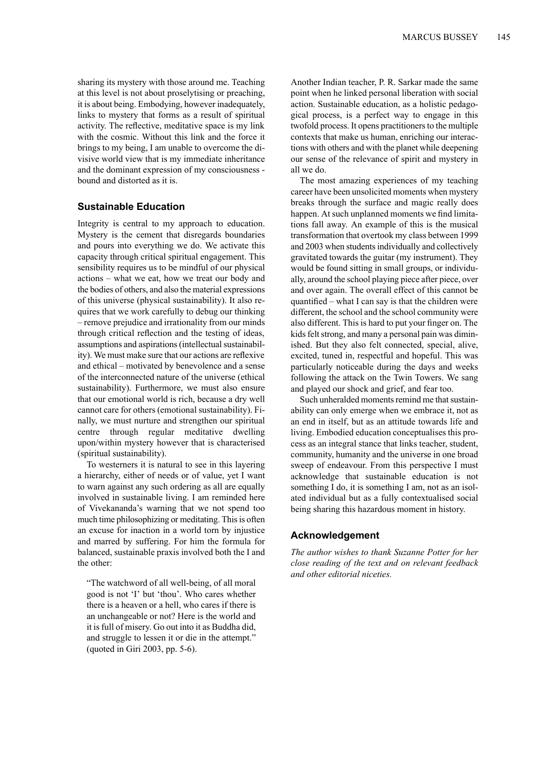sharing its mystery with those around me. Teaching at this level is not about proselytising or preaching, it is about being. Embodying, however inadequately, links to mystery that forms as a result of spiritual activity. The reflective, meditative space is my link with the cosmic. Without this link and the force it brings to my being, I am unable to overcome the divisive world view that is my immediate inheritance and the dominant expression of my consciousness bound and distorted as it is.

#### **Sustainable Education**

Integrity is central to my approach to education. Mystery is the cement that disregards boundaries and pours into everything we do. We activate this capacity through critical spiritual engagement. This sensibility requires us to be mindful of our physical actions – what we eat, how we treat our body and the bodies of others, and also the material expressions of this universe (physical sustainability). It also requires that we work carefully to debug our thinking – remove prejudice and irrationality from our minds through critical reflection and the testing of ideas, assumptions and aspirations (intellectual sustainability). We must make sure that our actions are reflexive and ethical – motivated by benevolence and a sense of the interconnected nature of the universe (ethical sustainability). Furthermore, we must also ensure that our emotional world is rich, because a dry well cannot care for others (emotional sustainability). Finally, we must nurture and strengthen our spiritual centre through regular meditative dwelling upon/within mystery however that is characterised (spiritual sustainability).

To westerners it is natural to see in this layering a hierarchy, either of needs or of value, yet I want to warn against any such ordering as all are equally involved in sustainable living. I am reminded here of Vivekananda's warning that we not spend too much time philosophizing or meditating. This is often an excuse for inaction in a world torn by injustice and marred by suffering. For him the formula for balanced, sustainable praxis involved both the I and the other:

"The watchword of all well-being, of all moral good is not 'I' but 'thou'. Who cares whether there is a heaven or a hell, who cares if there is an unchangeable or not? Here is the world and it isfull of misery. Go out into it as Buddha did, and struggle to lessen it or die in the attempt." (quoted in Giri 2003, pp. 5-6).

Another Indian teacher, P. R. Sarkar made the same point when he linked personal liberation with social action. Sustainable education, as a holistic pedagogical process, is a perfect way to engage in this twofold process. It opens practitioners to the multiple contexts that make us human, enriching our interactions with others and with the planet while deepening our sense of the relevance of spirit and mystery in all we do.

The most amazing experiences of my teaching career have been unsolicited moments when mystery breaks through the surface and magic really does happen. At such unplanned moments we find limitations fall away. An example of this is the musical transformation that overtook my class between 1999 and 2003 when students individually and collectively gravitated towards the guitar (my instrument). They would be found sitting in small groups, or individually, around the school playing piece after piece, over and over again. The overall effect of this cannot be quantified – what I can say is that the children were different, the school and the school community were also different. This is hard to put your finger on. The kids felt strong, and many a personal pain was diminished. But they also felt connected, special, alive, excited, tuned in, respectful and hopeful. This was particularly noticeable during the days and weeks following the attack on the Twin Towers. We sang and played our shock and grief, and fear too.

Such unheralded moments remind me that sustainability can only emerge when we embrace it, not as an end in itself, but as an attitude towards life and living. Embodied education conceptualises this process as an integral stance that links teacher, student, community, humanity and the universe in one broad sweep of endeavour. From this perspective I must acknowledge that sustainable education is not something I do, it is something I am, not as an isolated individual but as a fully contextualised social being sharing this hazardous moment in history.

#### **Acknowledgement**

*The author wishes to thank Suzanne Potter for her close reading of the text and on relevant feedback and other editorial niceties.*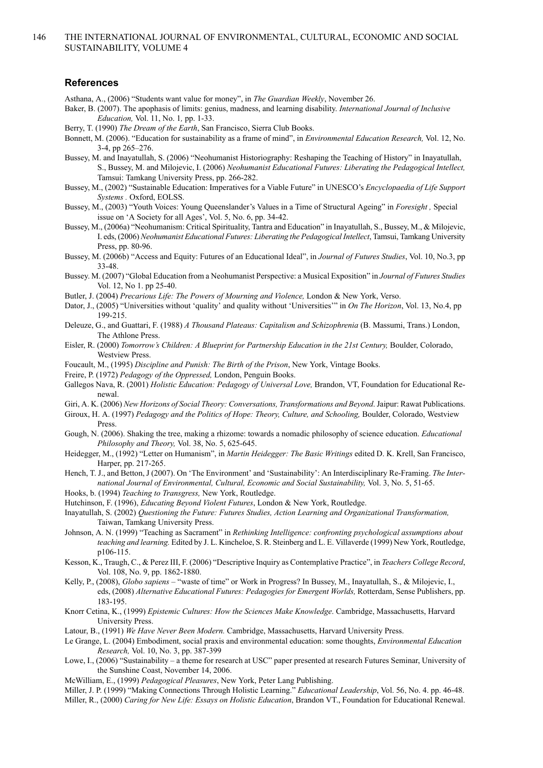#### **References**

- Asthana, A., (2006) "Students want value for money", in *The Guardian Weekly*, November 26.
- Baker, B. (2007). The apophasis of limits: genius, madness, and learning disability. *International Journal of Inclusive Education,* Vol. 11, No. 1*,* pp. 1-33.
- Berry, T. (1990) *The Dream of the Earth*, San Francisco, Sierra Club Books.
- Bonnett, M. (2006). "Education for sustainability as a frame of mind", in *Environmental Education Research,* Vol. 12, No. 3-4, pp 265–276.
- Bussey, M. and Inayatullah, S. (2006) "Neohumanist Historiography: Reshaping the Teaching of History" in Inayatullah, S., Bussey, M. and Milojevic, I. (2006) *Neohumanist Educational Futures: Liberating the Pedagogical Intellect,* Tamsui: Tamkang University Press, pp. 266-282.
- Bussey, M., (2002) "Sustainable Education: Imperatives for a Viable Future" in UNESCO's *Encyclopaedia of Life Support Systems .* Oxford, EOLSS.
- Bussey, M., (2003) "Youth Voices: Young Queenslander's Values in a Time of Structural Ageing" in *Foresight ,* Special issue on 'A Society for all Ages', Vol. 5, No. 6, pp. 34-42.
- Bussey, M., (2006a) "Neohumanism: Critical Spirituality, Tantra and Education" in Inayatullah, S., Bussey, M., & Milojevic, I. eds, (2006) *Neohumanist Educational Futures: Liberating the Pedagogical Intellect*, Tamsui, Tamkang University Press, pp. 80-96.
- Bussey, M. (2006b) "Access and Equity: Futures of an Educational Ideal", in *Journal of Futures Studies*, Vol. 10, No.3, pp 33-48.
- Bussey. M. (2007) "Global Education from a Neohumanist Perspective: a Musical Exposition" in *Journal of Futures Studies* Vol. 12, No 1. pp 25-40.
- Butler, J. (2004) *Precarious Life: The Powers of Mourning and Violence,* London & New York, Verso.
- Dator, J., (2005) "Universities without 'quality' and quality without 'Universities'" in *On The Horizon*, Vol. 13, No.4, pp 199-215.
- Deleuze, G., and Guattari, F. (1988) *A Thousand Plateaus: Capitalism and Schizophrenia* (B. Massumi, Trans.) London, The Athlone Press.
- Eisler, R. (2000) *Tomorrow's Children: A Blueprint for Partnership Education in the 21st Century,* Boulder, Colorado, Westview Press.
- Foucault, M., (1995) *Discipline and Punish: The Birth of the Prison*, New York, Vintage Books.
- Freire, P. (1972) *Pedagogy of the Oppressed,* London, Penguin Books.
- Gallegos Nava, R. (2001) *Holistic Education: Pedagogy of Universal Love,* Brandon, VT, Foundation for Educational Renewal.

Giri, A. K. (2006) *New Horizons of Social Theory: Conversations, Transformations and Beyond*.Jaipur: Rawat Publications.

- Giroux, H. A. (1997) *Pedagogy and the Politics of Hope: Theory, Culture, and Schooling,* Boulder, Colorado, Westview Press.
- Gough, N. (2006). Shaking the tree, making a rhizome: towards a nomadic philosophy of science education. *Educational Philosophy and Theory,* Vol. 38, No. 5, 625-645.
- Heidegger, M., (1992) "Letter on Humanism", in *Martin Heidegger: The Basic Writings* edited D. K. Krell, San Francisco, Harper, pp. 217-265.
- Hench, T. J., and Betton, J (2007). On 'The Environment' and 'Sustainability': An Interdisciplinary Re-Framing. *The International Journal of Environmental, Cultural, Economic and Social Sustainability,* Vol. 3, No. 5, 51-65.
- Hooks, b. (1994) *Teaching to Transgress,* New York, Routledge.
- Hutchinson, F. (1996), *Educating Beyond Violent Futures*, London & New York, Routledge.
- Inayatullah, S. (2002) *Questioning the Future: Futures Studies, Action Learning and Organizational Transformation,* Taiwan, Tamkang University Press.
- Johnson, A. N. (1999) "Teaching as Sacrament" in *Rethinking Intelligence: confronting psychological assumptions about teaching and learning.* Edited by J. L. Kincheloe, S. R. Steinberg and L. E. Villaverde (1999) New York, Routledge, p106-115.
- Kesson, K., Traugh, C., & Perez III, F. (2006) "Descriptive Inquiry as Contemplative Practice", in *Teachers College Record*, Vol. 108, No. 9, pp. 1862-1880.
- Kelly, P., (2008), *Globo sapiens –* "waste of time" or Work in Progress? In Bussey, M., Inayatullah, S., & Milojevic, I., eds, (2008) *Alternative Educational Futures: Pedagogies for Emergent Worlds,* Rotterdam, Sense Publishers, pp. 183-195.
- Knorr Cetina, K., (1999) *Epistemic Cultures: How the Sciences Make Knowledge*. Cambridge, Massachusetts, Harvard University Press.
- Latour, B., (1991) *We Have Never Been Modern.* Cambridge, Massachusetts, Harvard University Press.
- Le Grange, L. (2004) Embodiment, social praxis and environmental education: some thoughts, *Environmental Education Research,* Vol. 10, No. 3, pp. 387-399
- Lowe, I., (2006) "Sustainability a theme for research at USC" paper presented at research Futures Seminar, University of the Sunshine Coast, November 14, 2006.
- McWilliam, E., (1999) *Pedagogical Pleasures*, New York, Peter Lang Publishing.

Miller, J. P. (1999) "Making Connections Through Holistic Learning." *Educational Leadership*, Vol. 56, No. 4. pp. 46-48. Miller, R., (2000) *Caring for New Life: Essays on Holistic Education*, Brandon VT., Foundation for Educational Renewal.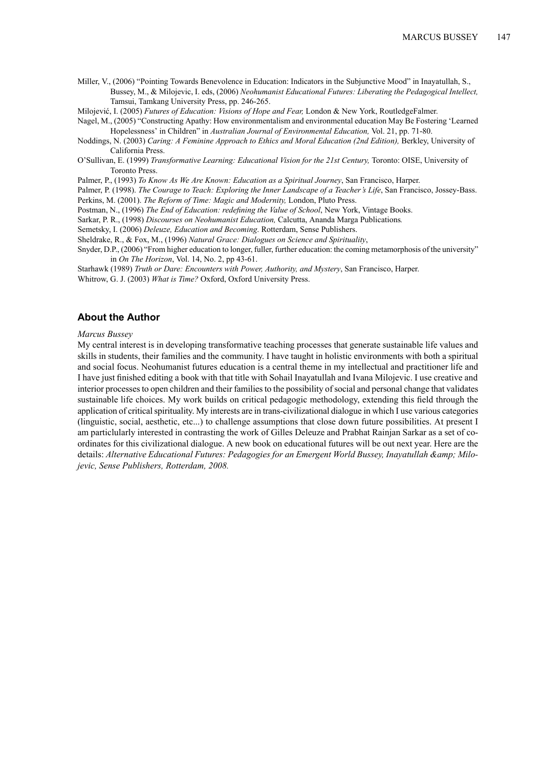- Miller, V., (2006) "Pointing Towards Benevolence in Education: Indicators in the Subjunctive Mood" in Inayatullah, S., Bussey, M., & Milojevic, I. eds, (2006) *Neohumanist Educational Futures: Liberating the Pedagogical Intellect,* Tamsui, Tamkang University Press, pp. 246-265.
- Milojević, I. (2005) *Futures of Education: Visions of Hope and Fear,* London & New York, RoutledgeFalmer.
- Nagel, M., (2005) "Constructing Apathy: How environmentalism and environmental education May Be Fostering 'Learned Hopelessness' in Children" in *Australian Journal of Environmental Education,* Vol. 21, pp. 71-80.
- Noddings, N. (2003) *Caring: A Feminine Approach to Ethics and Moral Education (2nd Edition),* Berkley, University of California Press.
- O'Sullivan, E. (1999) *Transformative Learning: Educational Vision for the 21st Century,* Toronto: OISE, University of Toronto Press.
- Palmer, P., (1993) *To Know As We Are Known: Education as a Spiritual Journey*, San Francisco, Harper.
- Palmer, P. (1998). *The Courage to Teach: Exploring the Inner Landscape of a Teacher's Life*, San Francisco, Jossey-Bass. Perkins, M. (2001). *The Reform of Time: Magic and Modernity,* London, Pluto Press.
- 
- Postman, N., (1996) *The End of Education: redefining the Value of School*, New York, Vintage Books.
- Sarkar, P. R., (1998) *Discourses on Neohumanist Education,* Calcutta, Ananda Marga Publications*.* Semetsky, I. (2006) *Deleuze, Education and Becoming*. Rotterdam, Sense Publishers.
- Sheldrake, R., & Fox, M., (1996) *Natural Grace: Dialogues on Science and Spirituality*,
- Snyder, D.P., (2006) "From higher education to longer, fuller, further education: the coming metamorphosis of the university" in *On The Horizon*, Vol. 14, No. 2, pp 43-61.
- Starhawk (1989) *Truth or Dare: Encounters with Power, Authority, and Mystery*, San Francisco, Harper.
- Whitrow, G. J. (2003) *What is Time?* Oxford, Oxford University Press.

#### **About the Author**

#### *Marcus Bussey*

My central interest is in developing transformative teaching processes that generate sustainable life values and skills in students, their families and the community. I have taught in holistic environments with both a spiritual and social focus. Neohumanist futures education is a central theme in my intellectual and practitioner life and I have just finished editing a book with that title with Sohail Inayatullah and Ivana Milojevic. I use creative and interior processes to open children and their families to the possibility of social and personal change that validates sustainable life choices. My work builds on critical pedagogic methodology, extending this field through the application of critical spirituality. My interests are in trans-civilizational dialogue in which I use various categories (linguistic, social, aesthetic, etc...) to challenge assumptions that close down future possibilities. At present I am particlularly interested in contrasting the work of Gilles Deleuze and Prabhat Rainjan Sarkar as a set of coordinates for this civilizational dialogue. A new book on educational futures will be out next year. Here are the details: *Alternative Educational Futures: Pedagogies for an Emergent World Bussey, Inayatullah & Milojevic, Sense Publishers, Rotterdam, 2008.*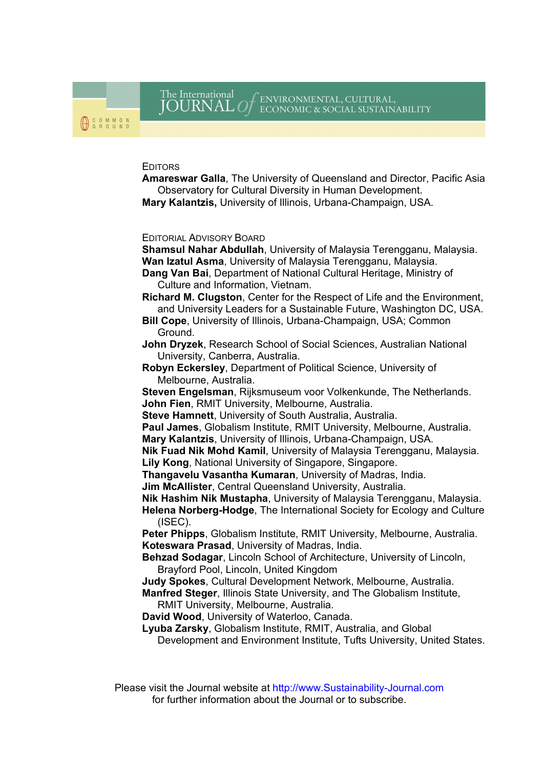#### **EDITORS**

Amareswar Galla, The University of Queensland and Director, Pacific Asia Observatory for Cultural Diversity in Human Development. Mary Kalantzis, University of Illinois, Urbana-Champaign, USA.

#### EDITORIAL ADVISORY BOARD

Shamsul Nahar Abdullah, University of Malaysia Terengganu, Malaysia. Wan Izatul Asma, University of Malaysia Terengganu, Malaysia.

Dang Van Bai, Department of National Cultural Heritage, Ministry of Culture and Information, Vietnam.

Richard M. Clugston, Center for the Respect of Life and the Environment, and University Leaders for a Sustainable Future, Washington DC, USA.

Bill Cope, University of Illinois, Urbana-Champaign, USA; Common Ground.

John Dryzek, Research School of Social Sciences, Australian National University, Canberra, Australia.

Robyn Eckersley, Department of Political Science, University of Melbourne, Australia.

Steven Engelsman, Rijksmuseum voor Volkenkunde, The Netherlands. John Fien, RMIT University, Melbourne, Australia.

Steve Hamnett, University of South Australia, Australia.

Paul James, Globalism Institute, RMIT University, Melbourne, Australia.

Mary Kalantzis, University of Illinois, Urbana-Champaign, USA.

Nik Fuad Nik Mohd Kamil, University of Malaysia Terengganu, Malaysia. Lily Kong, National University of Singapore, Singapore.

Thangavelu Vasantha Kumaran, University of Madras, India.

Jim McAllister, Central Queensland University, Australia.

Nik Hashim Nik Mustapha, University of Malaysia Terengganu, Malaysia.

Helena Norberg-Hodge, The International Society for Ecology and Culture (ISEC).

Peter Phipps, Globalism Institute, RMIT University, Melbourne, Australia. Koteswara Prasad, University of Madras, India.

Behzad Sodagar, Lincoln School of Architecture, University of Lincoln, Brayford Pool, Lincoln, United Kingdom

Judy Spokes, Cultural Development Network, Melbourne, Australia.

Manfred Steger, Illinois State University, and The Globalism Institute, RMIT University, Melbourne, Australia.

David Wood, University of Waterloo, Canada.

Lyuba Zarsky, Globalism Institute, RMIT, Australia, and Global Development and Environment Institute, Tufts University, United States.

Please visit the Journal website at http://www.Sustainability-Journal.com for further information about the Journal or to subscribe.